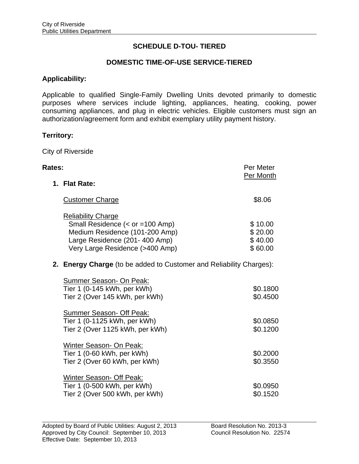# **SCHEDULE D-TOU- TIERED**

# **DOMESTIC TIME-OF-USE SERVICE-TIERED**

#### **Applicability:**

Applicable to qualified Single-Family Dwelling Units devoted primarily to domestic purposes where services include lighting, appliances, heating, cooking, power consuming appliances, and plug in electric vehicles. Eligible customers must sign an authorization/agreement form and exhibit exemplary utility payment history.

#### **Territory:**

City of Riverside

| Rates:                                                                                                                                                             | Per Meter<br>Per Month                   |
|--------------------------------------------------------------------------------------------------------------------------------------------------------------------|------------------------------------------|
| 1. Flat Rate:                                                                                                                                                      |                                          |
| <b>Customer Charge</b>                                                                                                                                             | \$8.06                                   |
| <b>Reliability Charge</b><br>Small Residence (< or =100 Amp)<br>Medium Residence (101-200 Amp)<br>Large Residence (201-400 Amp)<br>Very Large Residence (>400 Amp) | \$10.00<br>\$20.00<br>\$40.00<br>\$60.00 |
| 2. Energy Charge (to be added to Customer and Reliability Charges):                                                                                                |                                          |
| Summer Season- On Peak:<br>Tier 1 (0-145 kWh, per kWh)<br>Tier 2 (Over 145 kWh, per kWh)                                                                           | \$0.1800<br>\$0.4500                     |
| Summer Season- Off Peak:<br>Tier 1 (0-1125 kWh, per kWh)<br>Tier 2 (Over 1125 kWh, per kWh)                                                                        | \$0.0850<br>\$0.1200                     |
| Winter Season- On Peak:<br>Tier 1 (0-60 kWh, per kWh)<br>Tier 2 (Over 60 kWh, per kWh)                                                                             | \$0.2000<br>\$0.3550                     |
| <b>Winter Season- Off Peak:</b><br>Tier 1 (0-500 kWh, per kWh)<br>Tier 2 (Over 500 kWh, per kWh)                                                                   | \$0.0950<br>\$0.1520                     |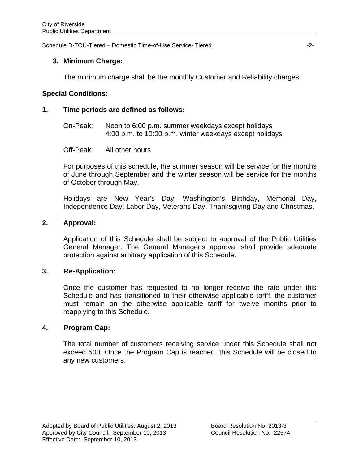Schedule D-TOU-Tiered – Domestic Time-of-Use Service- Tiered -2-

### **3. Minimum Charge:**

The minimum charge shall be the monthly Customer and Reliability charges.

### **Special Conditions:**

### **1. Time periods are defined as follows:**

 On-Peak: Noon to 6:00 p.m. summer weekdays except holidays 4:00 p.m. to 10:00 p.m. winter weekdays except holidays

Off-Peak: All other hours

 For purposes of this schedule, the summer season will be service for the months of June through September and the winter season will be service for the months of October through May.

Holidays are New Year's Day, Washington's Birthday, Memorial Day, Independence Day, Labor Day, Veterans Day, Thanksgiving Day and Christmas.

#### **2. Approval:**

 Application of this Schedule shall be subject to approval of the Public Utilities General Manager. The General Manager's approval shall provide adequate protection against arbitrary application of this Schedule.

#### **3. Re-Application:**

Once the customer has requested to no longer receive the rate under this Schedule and has transitioned to their otherwise applicable tariff, the customer must remain on the otherwise applicable tariff for twelve months prior to reapplying to this Schedule.

# **4. Program Cap:**

 The total number of customers receiving service under this Schedule shall not exceed 500. Once the Program Cap is reached, this Schedule will be closed to any new customers.